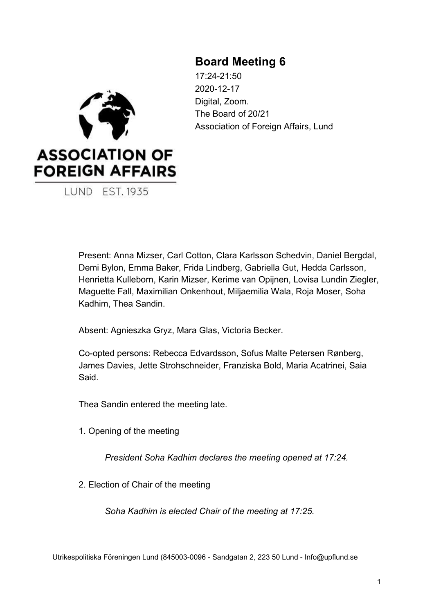# **Board Meeting 6**

17:24-21:50 2020-12-17 Digital, Zoom. The Board of 20/21 Association of Foreign Affairs, Lund



Present: Anna Mizser, Carl Cotton, Clara Karlsson Schedvin, Daniel Bergdal, Demi Bylon, Emma Baker, Frida Lindberg, Gabriella Gut, Hedda Carlsson, Henrietta Kulleborn, Karin Mizser, Kerime van Opijnen, Lovisa Lundin Ziegler, Maguette Fall, Maximilian Onkenhout, Miljaemilia Wala, Roja Moser, Soha Kadhim, Thea Sandin.

Absent: Agnieszka Gryz, Mara Glas, Victoria Becker.

Co-opted persons: Rebecca Edvardsson, Sofus Malte Petersen Rønberg, James Davies, Jette Strohschneider, Franziska Bold, Maria Acatrinei, Saia Said.

Thea Sandin entered the meeting late.

1. Opening of the meeting

*President Soha Kadhim declares the meeting opened at 17:24.*

2. Election of Chair of the meeting

*Soha Kadhim is elected Chair of the meeting at 17:25.*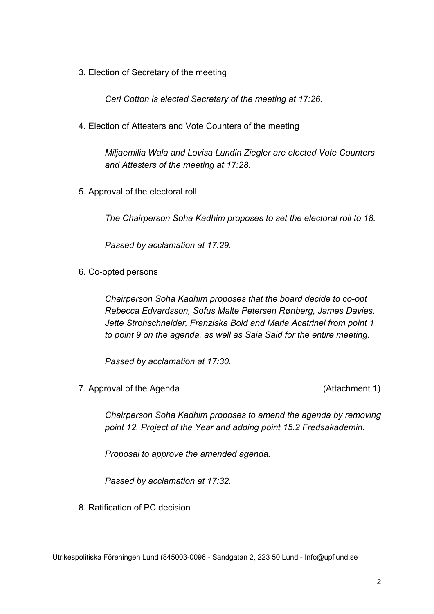3. Election of Secretary of the meeting

*Carl Cotton is elected Secretary of the meeting at 17:26.*

4. Election of Attesters and Vote Counters of the meeting

*Miljaemilia Wala and Lovisa Lundin Ziegler are elected Vote Counters and Attesters of the meeting at 17:28.*

5. Approval of the electoral roll

*The Chairperson Soha Kadhim proposes to set the electoral roll to 18.*

*Passed by acclamation at 17:29.*

6. Co-opted persons

*Chairperson Soha Kadhim proposes that the board decide to co-opt Rebecca Edvardsson, Sofus Malte Petersen Rønberg, James Davies, Jette Strohschneider, Franziska Bold and Maria Acatrinei from point 1 to point 9 on the agenda, as well as Saia Said for the entire meeting.*

*Passed by acclamation at 17:30.*

7. Approval of the Agenda (Attachment 1)

*Chairperson Soha Kadhim proposes to amend the agenda by removing point 12. Project of the Year and adding point 15.2 Fredsakademin.*

*Proposal to approve the amended agenda.*

*Passed by acclamation at 17:32.*

8. Ratification of PC decision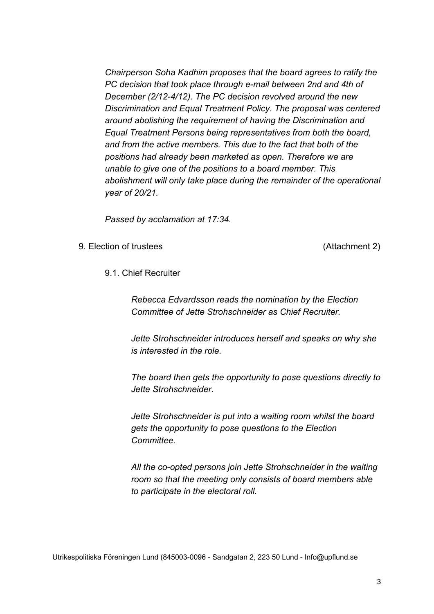*Chairperson Soha Kadhim proposes that the board agrees to ratify the PC decision that took place through e-mail between 2nd and 4th of December (2/12-4/12). The PC decision revolved around the new Discrimination and Equal Treatment Policy. The proposal was centered around abolishing the requirement of having the Discrimination and Equal Treatment Persons being representatives from both the board, and from the active members. This due to the fact that both of the positions had already been marketed as open. Therefore we are unable to give one of the positions to a board member. This abolishment will only take place during the remainder of the operational year of 20/21.*

*Passed by acclamation at 17:34.*

9. Election of trustees (Attachment 2)

9.1. Chief Recruiter

*Rebecca Edvardsson reads the nomination by the Election Committee of Jette Strohschneider as Chief Recruiter.*

*Jette Strohschneider introduces herself and speaks on why she is interested in the role.*

*The board then gets the opportunity to pose questions directly to Jette Strohschneider.*

*Jette Strohschneider is put into a waiting room whilst the board gets the opportunity to pose questions to the Election Committee.*

*All the co-opted persons join Jette Strohschneider in the waiting room so that the meeting only consists of board members able to participate in the electoral roll.*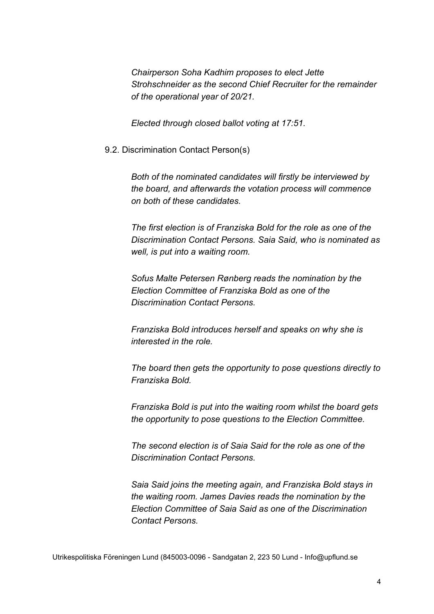*Chairperson Soha Kadhim proposes to elect Jette Strohschneider as the second Chief Recruiter for the remainder of the operational year of 20/21.*

*Elected through closed ballot voting at 17:51.*

9.2. Discrimination Contact Person(s)

*Both of the nominated candidates will firstly be interviewed by the board, and afterwards the votation process will commence on both of these candidates.*

*The first election is of Franziska Bold for the role as one of the Discrimination Contact Persons. Saia Said, who is nominated as well, is put into a waiting room.*

*Sofus Malte Petersen Rønberg reads the nomination by the Election Committee of Franziska Bold as one of the Discrimination Contact Persons.*

*Franziska Bold introduces herself and speaks on why she is interested in the role.*

*The board then gets the opportunity to pose questions directly to Franziska Bold.*

*Franziska Bold is put into the waiting room whilst the board gets the opportunity to pose questions to the Election Committee.*

*The second election is of Saia Said for the role as one of the Discrimination Contact Persons.*

*Saia Said joins the meeting again, and Franziska Bold stays in the waiting room. James Davies reads the nomination by the Election Committee of Saia Said as one of the Discrimination Contact Persons.*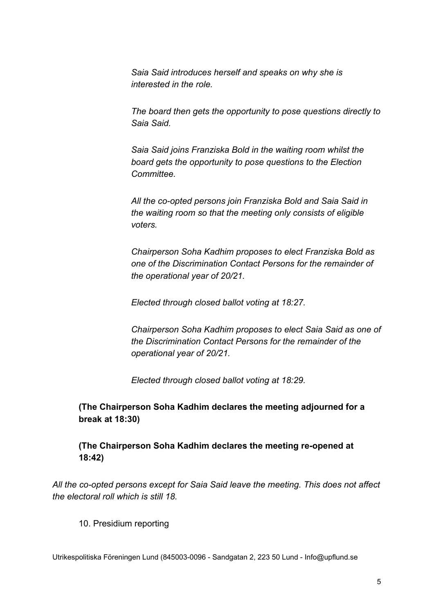*Saia Said introduces herself and speaks on why she is interested in the role.*

*The board then gets the opportunity to pose questions directly to Saia Said.*

*Saia Said joins Franziska Bold in the waiting room whilst the board gets the opportunity to pose questions to the Election Committee.*

*All the co-opted persons join Franziska Bold and Saia Said in the waiting room so that the meeting only consists of eligible voters.*

*Chairperson Soha Kadhim proposes to elect Franziska Bold as one of the Discrimination Contact Persons for the remainder of the operational year of 20/21.*

*Elected through closed ballot voting at 18:27.*

*Chairperson Soha Kadhim proposes to elect Saia Said as one of the Discrimination Contact Persons for the remainder of the operational year of 20/21.*

*Elected through closed ballot voting at 18:29.*

**(The Chairperson Soha Kadhim declares the meeting adjourned for a break at 18:30)**

**(The Chairperson Soha Kadhim declares the meeting re-opened at 18:42)**

*All the co-opted persons except for Saia Said leave the meeting. This does not affect the electoral roll which is still 18.*

10. Presidium reporting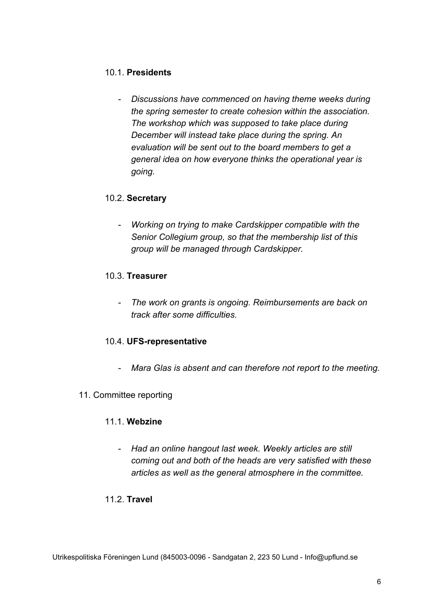## 10.1. **Presidents**

*- Discussions have commenced on having theme weeks during the spring semester to create cohesion within the association. The workshop which was supposed to take place during December will instead take place during the spring. An evaluation will be sent out to the board members to get a general idea on how everyone thinks the operational year is going.*

### 10.2. **Secretary**

*- Working on trying to make Cardskipper compatible with the Senior Collegium group, so that the membership list of this group will be managed through Cardskipper.*

### 10.3. **Treasurer**

*- The work on grants is ongoing. Reimbursements are back on track after some difficulties.*

### 10.4. **UFS-representative**

*- Mara Glas is absent and can therefore not report to the meeting.*

### 11. Committee reporting

### 11.1. **Webzine**

*- Had an online hangout last week. Weekly articles are still coming out and both of the heads are very satisfied with these articles as well as the general atmosphere in the committee.*

### 11.2. **Travel**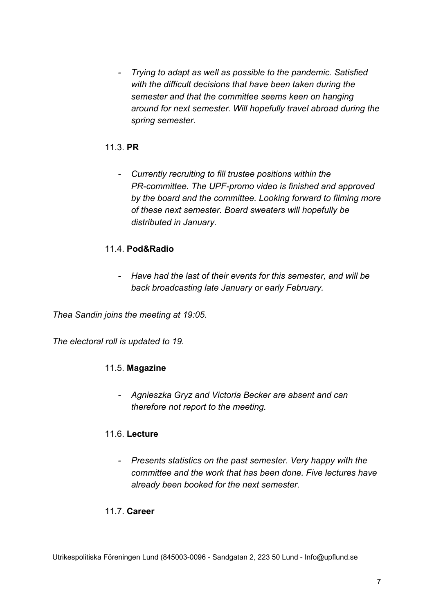*- Trying to adapt as well as possible to the pandemic. Satisfied with the difficult decisions that have been taken during the semester and that the committee seems keen on hanging around for next semester. Will hopefully travel abroad during the spring semester.*

## 11.3. **PR**

*- Currently recruiting to fill trustee positions within the PR-committee. The UPF-promo video is finished and approved by the board and the committee. Looking forward to filming more of these next semester. Board sweaters will hopefully be distributed in January.*

### 11.4. **Pod&Radio**

*- Have had the last of their events for this semester, and will be back broadcasting late January or early February.*

*Thea Sandin joins the meeting at 19:05.*

*The electoral roll is updated to 19.*

### 11.5. **Magazine**

*- Agnieszka Gryz and Victoria Becker are absent and can therefore not report to the meeting.*

### 11.6. **Lecture**

*- Presents statistics on the past semester. Very happy with the committee and the work that has been done. Five lectures have already been booked for the next semester.*

### 11.7. **Career**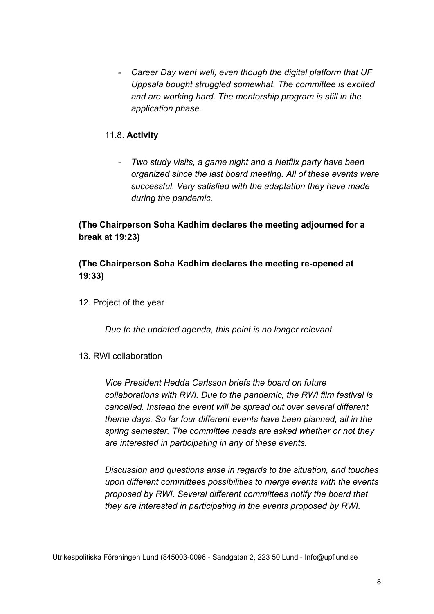*- Career Day went well, even though the digital platform that UF Uppsala bought struggled somewhat. The committee is excited and are working hard. The mentorship program is still in the application phase.*

### 11.8. **Activity**

*- Two study visits, a game night and a Netflix party have been organized since the last board meeting. All of these events were successful. Very satisfied with the adaptation they have made during the pandemic.*

## **(The Chairperson Soha Kadhim declares the meeting adjourned for a break at 19:23)**

## **(The Chairperson Soha Kadhim declares the meeting re-opened at 19:33)**

12. Project of the year

*Due to the updated agenda, this point is no longer relevant.*

### 13. RWI collaboration

*Vice President Hedda Carlsson briefs the board on future collaborations with RWI. Due to the pandemic, the RWI film festival is cancelled. Instead the event will be spread out over several different theme days. So far four different events have been planned, all in the spring semester. The committee heads are asked whether or not they are interested in participating in any of these events.*

*Discussion and questions arise in regards to the situation, and touches upon different committees possibilities to merge events with the events proposed by RWI. Several different committees notify the board that they are interested in participating in the events proposed by RWI.*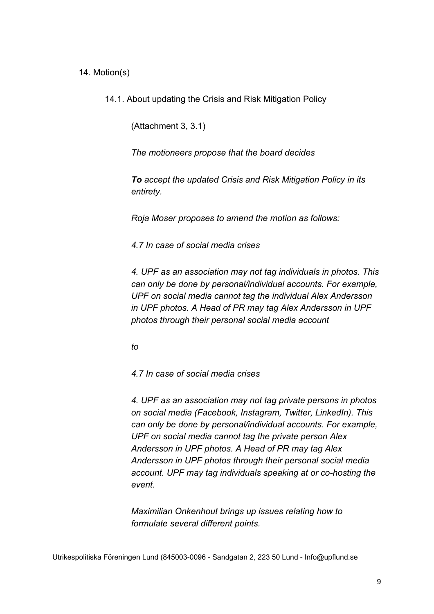14. Motion(s)

14.1. About updating the Crisis and Risk Mitigation Policy

(Attachment 3, 3.1)

*The motioneers propose that the board decides*

*To accept the updated Crisis and Risk Mitigation Policy in its entirety.*

*Roja Moser proposes to amend the motion as follows:*

*4.7 In case of social media crises*

*4. UPF as an association may not tag individuals in photos. This can only be done by personal/individual accounts. For example, UPF on social media cannot tag the individual Alex Andersson in UPF photos. A Head of PR may tag Alex Andersson in UPF photos through their personal social media account*

*to*

*4.7 In case of social media crises*

*4. UPF as an association may not tag private persons in photos on social media (Facebook, Instagram, Twitter, LinkedIn). This can only be done by personal/individual accounts. For example, UPF on social media cannot tag the private person Alex Andersson in UPF photos. A Head of PR may tag Alex Andersson in UPF photos through their personal social media account. UPF may tag individuals speaking at or co-hosting the event.*

*Maximilian Onkenhout brings up issues relating how to formulate several different points.*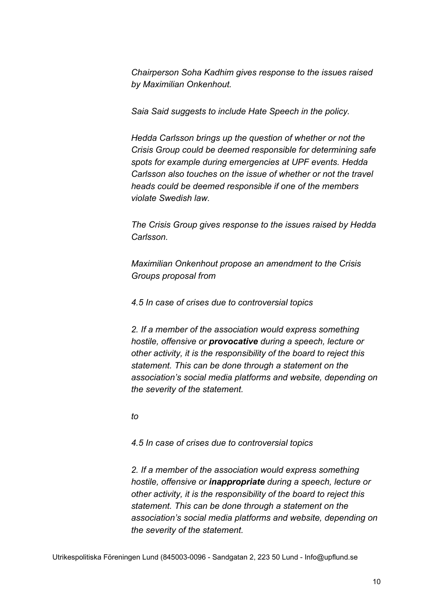*Chairperson Soha Kadhim gives response to the issues raised by Maximilian Onkenhout.*

*Saia Said suggests to include Hate Speech in the policy.*

*Hedda Carlsson brings up the question of whether or not the Crisis Group could be deemed responsible for determining safe spots for example during emergencies at UPF events. Hedda Carlsson also touches on the issue of whether or not the travel heads could be deemed responsible if one of the members violate Swedish law.*

*The Crisis Group gives response to the issues raised by Hedda Carlsson.*

*Maximilian Onkenhout propose an amendment to the Crisis Groups proposal from*

*4.5 In case of crises due to controversial topics*

*2. If a member of the association would express something hostile, offensive or provocative during a speech, lecture or other activity, it is the responsibility of the board to reject this statement. This can be done through a statement on the association's social media platforms and website, depending on the severity of the statement.*

*to*

*4.5 In case of crises due to controversial topics*

*2. If a member of the association would express something hostile, offensive or inappropriate during a speech, lecture or other activity, it is the responsibility of the board to reject this statement. This can be done through a statement on the association's social media platforms and website, depending on the severity of the statement.*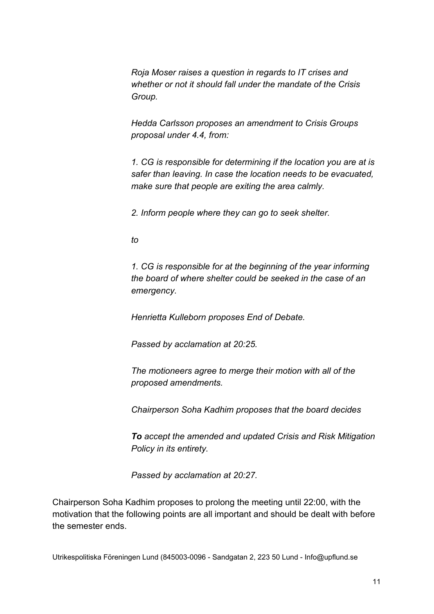*Roja Moser raises a question in regards to IT crises and whether or not it should fall under the mandate of the Crisis Group.*

*Hedda Carlsson proposes an amendment to Crisis Groups proposal under 4.4, from:*

*1. CG is responsible for determining if the location you are at is safer than leaving. In case the location needs to be evacuated, make sure that people are exiting the area calmly.*

*2. Inform people where they can go to seek shelter.*

*to*

*1. CG is responsible for at the beginning of the year informing the board of where shelter could be seeked in the case of an emergency.*

*Henrietta Kulleborn proposes End of Debate.*

*Passed by acclamation at 20:25.*

*The motioneers agree to merge their motion with all of the proposed amendments.*

*Chairperson Soha Kadhim proposes that the board decides*

*To accept the amended and updated Crisis and Risk Mitigation Policy in its entirety.*

*Passed by acclamation at 20:27.*

Chairperson Soha Kadhim proposes to prolong the meeting until 22:00, with the motivation that the following points are all important and should be dealt with before the semester ends.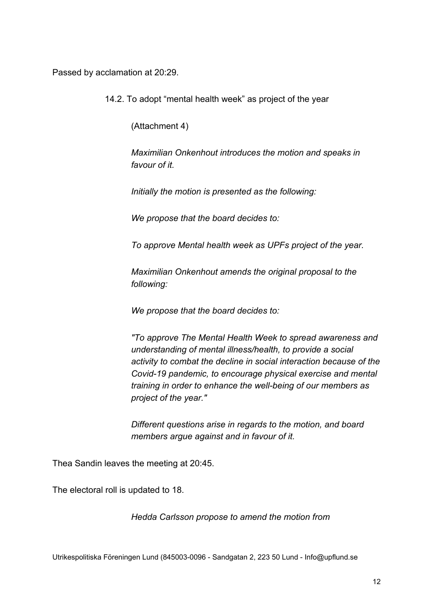Passed by acclamation at 20:29.

14.2. To adopt "mental health week" as project of the year

(Attachment 4)

*Maximilian Onkenhout introduces the motion and speaks in favour of it.*

*Initially the motion is presented as the following:*

*We propose that the board decides to:*

*To approve Mental health week as UPFs project of the year.*

*Maximilian Onkenhout amends the original proposal to the following:*

*We propose that the board decides to:*

*"To approve The Mental Health Week to spread awareness and understanding of mental illness/health, to provide a social activity to combat the decline in social interaction because of the Covid-19 pandemic, to encourage physical exercise and mental training in order to enhance the well-being of our members as project of the year."*

*Different questions arise in regards to the motion, and board members argue against and in favour of it.*

Thea Sandin leaves the meeting at 20:45.

The electoral roll is updated to 18.

*Hedda Carlsson propose to amend the motion from*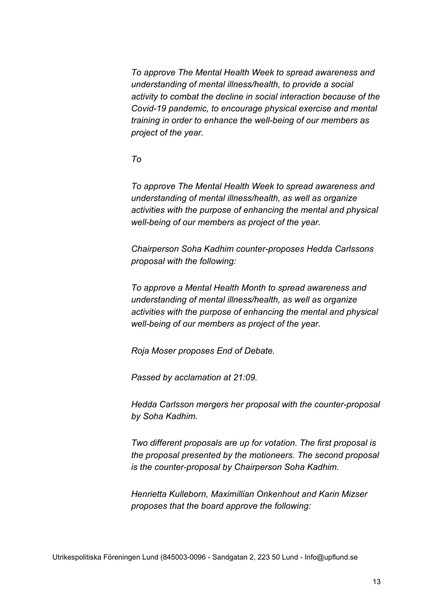*To approve The Mental Health Week to spread awareness and understanding of mental illness/health, to provide a social activity to combat the decline in social interaction because of the Covid-19 pandemic, to encourage physical exercise and mental training in order to enhance the well-being of our members as project of the year.*

### *To*

*To approve The Mental Health Week to spread awareness and understanding of mental illness/health, as well as organize activities with the purpose of enhancing the mental and physical well-being of our members as project of the year.*

*Chairperson Soha Kadhim counter-proposes Hedda Carlssons proposal with the following:*

*To approve a Mental Health Month to spread awareness and understanding of mental illness/health, as well as organize activities with the purpose of enhancing the mental and physical well-being of our members as project of the year.*

*Roja Moser proposes End of Debate.*

*Passed by acclamation at 21:09.*

*Hedda Carlsson mergers her proposal with the counter-proposal by Soha Kadhim.*

*Two different proposals are up for votation. The first proposal is the proposal presented by the motioneers. The second proposal is the counter-proposal by Chairperson Soha Kadhim.*

*Henrietta Kulleborn, Maximillian Onkenhout and Karin Mizser proposes that the board approve the following:*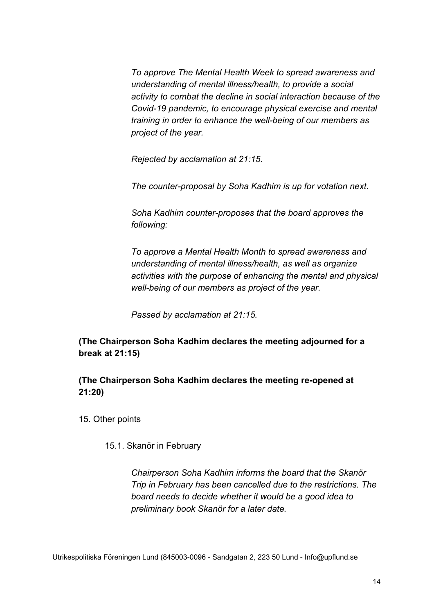*To approve The Mental Health Week to spread awareness and understanding of mental illness/health, to provide a social activity to combat the decline in social interaction because of the Covid-19 pandemic, to encourage physical exercise and mental training in order to enhance the well-being of our members as project of the year.*

*Rejected by acclamation at 21:15.*

*The counter-proposal by Soha Kadhim is up for votation next.*

*Soha Kadhim counter-proposes that the board approves the following:*

*To approve a Mental Health Month to spread awareness and understanding of mental illness/health, as well as organize activities with the purpose of enhancing the mental and physical well-being of our members as project of the year.*

*Passed by acclamation at 21:15.*

**(The Chairperson Soha Kadhim declares the meeting adjourned for a break at 21:15)**

## **(The Chairperson Soha Kadhim declares the meeting re-opened at 21:20)**

15. Other points

15.1. Skanör in February

*Chairperson Soha Kadhim informs the board that the Skanör Trip in February has been cancelled due to the restrictions. The board needs to decide whether it would be a good idea to preliminary book Skanör for a later date.*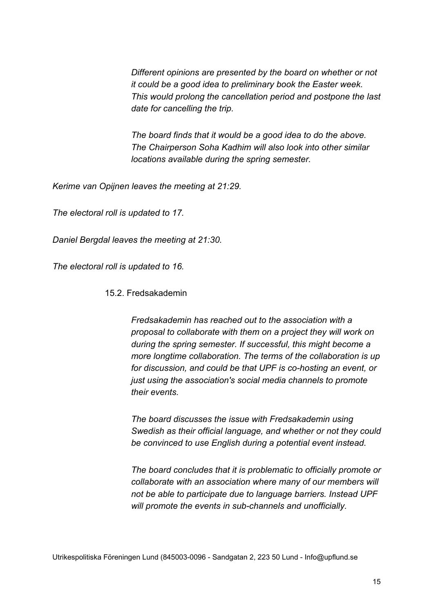*Different opinions are presented by the board on whether or not it could be a good idea to preliminary book the Easter week. This would prolong the cancellation period and postpone the last date for cancelling the trip.*

*The board finds that it would be a good idea to do the above. The Chairperson Soha Kadhim will also look into other similar locations available during the spring semester.*

*Kerime van Opijnen leaves the meeting at 21:29.*

*The electoral roll is updated to 17.*

*Daniel Bergdal leaves the meeting at 21:30.*

*The electoral roll is updated to 16.*

15.2. Fredsakademin

*Fredsakademin has reached out to the association with a proposal to collaborate with them on a project they will work on during the spring semester. If successful, this might become a more longtime collaboration. The terms of the collaboration is up for discussion, and could be that UPF is co-hosting an event, or just using the association's social media channels to promote their events.*

*The board discusses the issue with Fredsakademin using Swedish as their official language, and whether or not they could be convinced to use English during a potential event instead.*

*The board concludes that it is problematic to officially promote or collaborate with an association where many of our members will not be able to participate due to language barriers. Instead UPF will promote the events in sub-channels and unofficially.*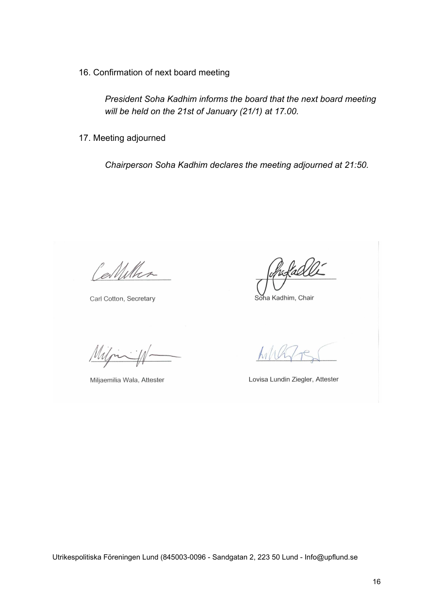16. Confirmation of next board meeting

*President Soha Kadhim informs the board that the next board meeting will be held on the 21st of January (21/1) at 17.00.*

17. Meeting adjourned

*Chairperson Soha Kadhim declares the meeting adjourned at 21:50.*

Celletter

Carl Cotton, Secretary

Miljaemilia Wala, Attester

hofadelli

Soha Kadhim, Chair

Lovisa Lundin Ziegler, Attester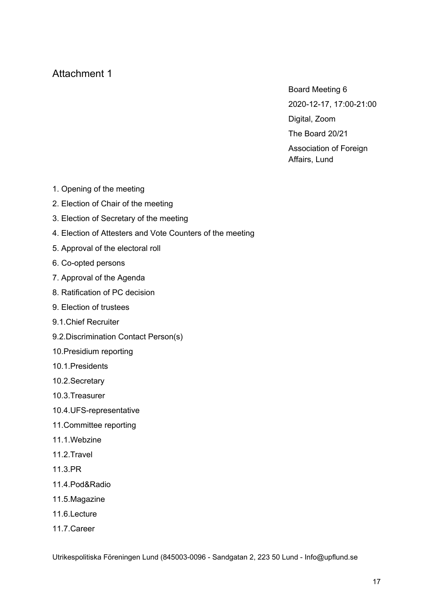Board Meeting 6 2020-12-17, 17:00-21:00 Digital, Zoom The Board 20/21 Association of Foreign Affairs, Lund

- 1. Opening of the meeting
- 2. Election of Chair of the meeting
- 3. Election of Secretary of the meeting
- 4. Election of Attesters and Vote Counters of the meeting
- 5. Approval of the electoral roll
- 6. Co-opted persons
- 7. Approval of the Agenda
- 8. Ratification of PC decision
- 9. Election of trustees
- 9.1.Chief Recruiter
- 9.2.Discrimination Contact Person(s)
- 10.Presidium reporting
- 10.1.Presidents
- 10.2.Secretary
- 10.3.Treasurer
- 10.4.UFS-representative
- 11.Committee reporting
- 11.1.Webzine
- 11.2.Travel
- 11.3.PR
- 11.4.Pod&Radio
- 11.5.Magazine
- 11.6.Lecture
- 11.7.Career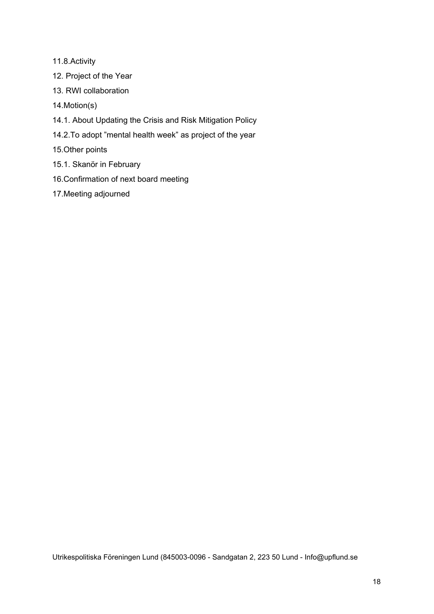- 11.8.Activity
- 12. Project of the Year
- 13. RWI collaboration
- 14.Motion(s)
- 14.1. About Updating the Crisis and Risk Mitigation Policy
- 14.2.To adopt "mental health week" as project of the year
- 15.Other points
- 15.1. Skanör in February
- 16.Confirmation of next board meeting
- 17.Meeting adjourned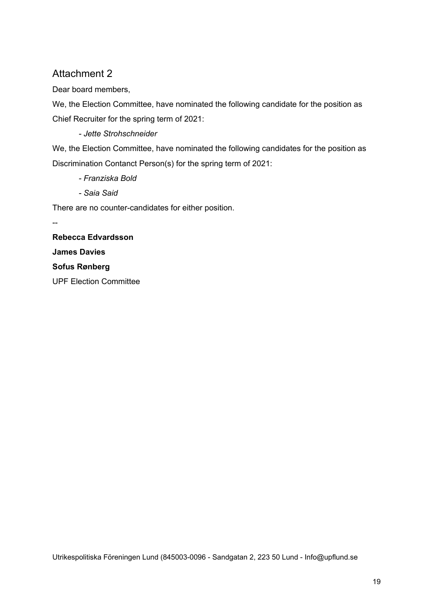Dear board members,

We, the Election Committee, have nominated the following candidate for the position as Chief Recruiter for the spring term of 2021:

*- Jette Strohschneider*

We, the Election Committee, have nominated the following candidates for the position as Discrimination Contanct Person(s) for the spring term of 2021:

- *- Franziska Bold*
- *- Saia Said*

There are no counter-candidates for either position.

**Rebecca Edvardsson James Davies Sofus Rønberg** UPF Election Committee

--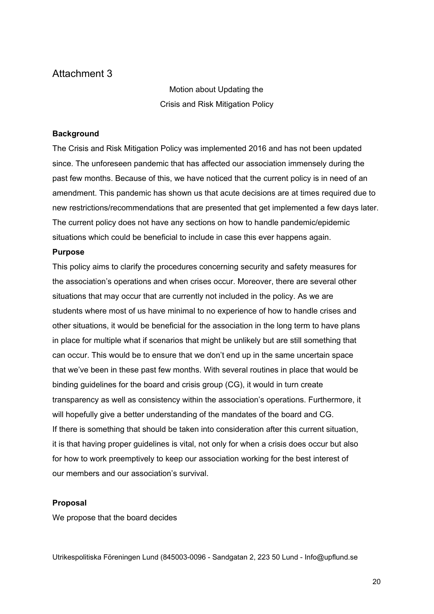Motion about Updating the Crisis and Risk Mitigation Policy

#### **Background**

The Crisis and Risk Mitigation Policy was implemented 2016 and has not been updated since. The unforeseen pandemic that has affected our association immensely during the past few months. Because of this, we have noticed that the current policy is in need of an amendment. This pandemic has shown us that acute decisions are at times required due to new restrictions/recommendations that are presented that get implemented a few days later. The current policy does not have any sections on how to handle pandemic/epidemic situations which could be beneficial to include in case this ever happens again.

#### **Purpose**

This policy aims to clarify the procedures concerning security and safety measures for the association's operations and when crises occur. Moreover, there are several other situations that may occur that are currently not included in the policy. As we are students where most of us have minimal to no experience of how to handle crises and other situations, it would be beneficial for the association in the long term to have plans in place for multiple what if scenarios that might be unlikely but are still something that can occur. This would be to ensure that we don't end up in the same uncertain space that we've been in these past few months. With several routines in place that would be binding guidelines for the board and crisis group (CG), it would in turn create transparency as well as consistency within the association's operations. Furthermore, it will hopefully give a better understanding of the mandates of the board and CG. If there is something that should be taken into consideration after this current situation, it is that having proper guidelines is vital, not only for when a crisis does occur but also for how to work preemptively to keep our association working for the best interest of our members and our association's survival.

#### **Proposal**

We propose that the board decides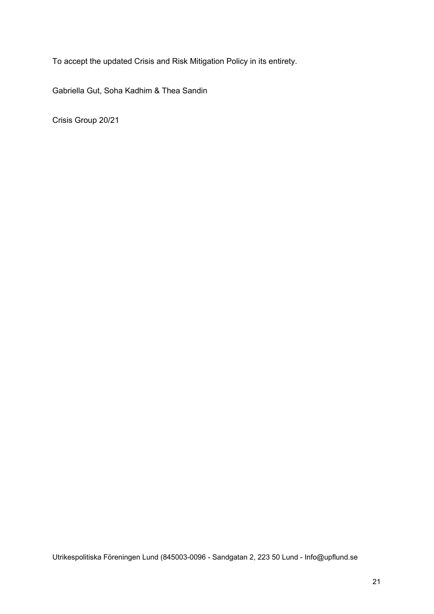To accept the updated Crisis and Risk Mitigation Policy in its entirety.

Gabriella Gut, Soha Kadhim & Thea Sandin

Crisis Group 20/21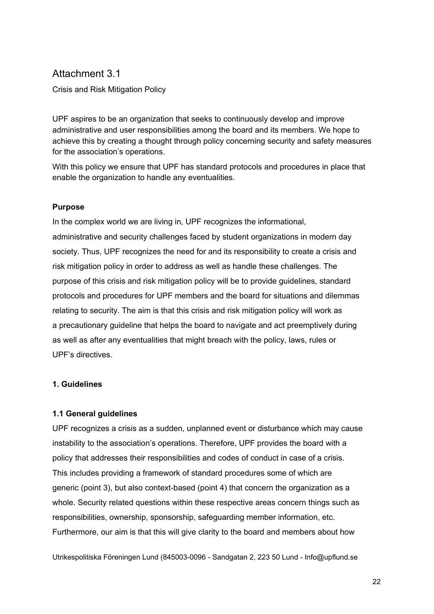## Attachment 3.1

Crisis and Risk Mitigation Policy

UPF aspires to be an organization that seeks to continuously develop and improve administrative and user responsibilities among the board and its members. We hope to achieve this by creating a thought through policy concerning security and safety measures for the association's operations.

With this policy we ensure that UPF has standard protocols and procedures in place that enable the organization to handle any eventualities.

### **Purpose**

In the complex world we are living in, UPF recognizes the informational, administrative and security challenges faced by student organizations in modern day society. Thus, UPF recognizes the need for and its responsibility to create a crisis and risk mitigation policy in order to address as well as handle these challenges. The purpose of this crisis and risk mitigation policy will be to provide guidelines, standard protocols and procedures for UPF members and the board for situations and dilemmas relating to security. The aim is that this crisis and risk mitigation policy will work as a precautionary guideline that helps the board to navigate and act preemptively during as well as after any eventualities that might breach with the policy, laws, rules or UPF's directives.

#### **1. Guidelines**

#### **1.1 General guidelines**

UPF recognizes a crisis as a sudden, unplanned event or disturbance which may cause instability to the association's operations. Therefore, UPF provides the board with a policy that addresses their responsibilities and codes of conduct in case of a crisis. This includes providing a framework of standard procedures some of which are generic (point 3), but also context-based (point 4) that concern the organization as a whole. Security related questions within these respective areas concern things such as responsibilities, ownership, sponsorship, safeguarding member information, etc. Furthermore, our aim is that this will give clarity to the board and members about how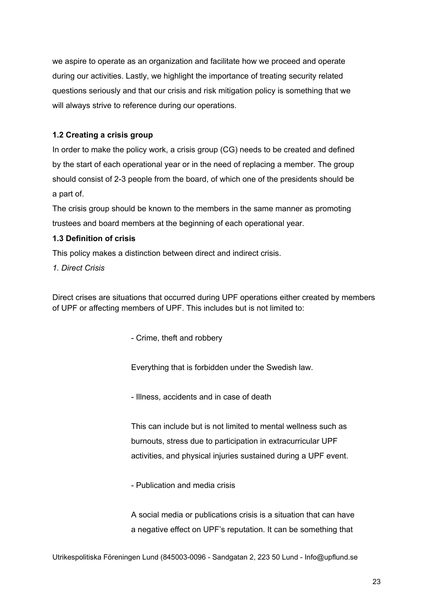we aspire to operate as an organization and facilitate how we proceed and operate during our activities. Lastly, we highlight the importance of treating security related questions seriously and that our crisis and risk mitigation policy is something that we will always strive to reference during our operations.

### **1.2 Creating a crisis group**

In order to make the policy work, a crisis group (CG) needs to be created and defined by the start of each operational year or in the need of replacing a member. The group should consist of 2-3 people from the board, of which one of the presidents should be a part of.

The crisis group should be known to the members in the same manner as promoting trustees and board members at the beginning of each operational year.

### **1.3 Definition of crisis**

This policy makes a distinction between direct and indirect crisis.

*1. Direct Crisis*

Direct crises are situations that occurred during UPF operations either created by members of UPF or affecting members of UPF. This includes but is not limited to:

- Crime, theft and robbery

Everything that is forbidden under the Swedish law.

- Illness, accidents and in case of death

This can include but is not limited to mental wellness such as burnouts, stress due to participation in extracurricular UPF activities, and physical injuries sustained during a UPF event.

- Publication and media crisis

A social media or publications crisis is a situation that can have a negative effect on UPF's reputation. It can be something that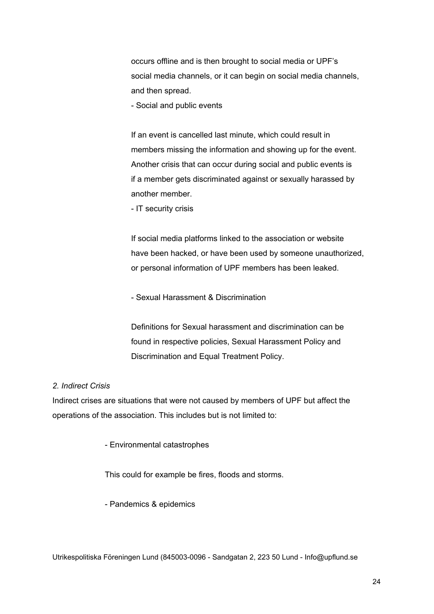occurs offline and is then brought to social media or UPF's social media channels, or it can begin on social media channels, and then spread.

- Social and public events

If an event is cancelled last minute, which could result in members missing the information and showing up for the event. Another crisis that can occur during social and public events is if a member gets discriminated against or sexually harassed by another member.

- IT security crisis

If social media platforms linked to the association or website have been hacked, or have been used by someone unauthorized, or personal information of UPF members has been leaked.

- Sexual Harassment & Discrimination

Definitions for Sexual harassment and discrimination can be found in respective policies, Sexual Harassment Policy and Discrimination and Equal Treatment Policy.

#### *2. Indirect Crisis*

Indirect crises are situations that were not caused by members of UPF but affect the operations of the association. This includes but is not limited to:

- Environmental catastrophes

This could for example be fires, floods and storms.

- Pandemics & epidemics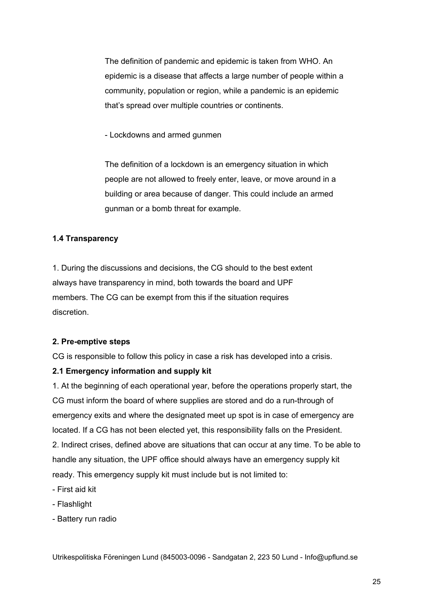The definition of pandemic and epidemic is taken from WHO. An epidemic is a disease that affects a large number of people within a community, population or region, while a pandemic is an epidemic that's spread over multiple countries or continents.

- Lockdowns and armed gunmen

The definition of a lockdown is an emergency situation in which people are not allowed to freely enter, leave, or move around in a building or area because of danger. This could include an armed gunman or a bomb threat for example.

#### **1.4 Transparency**

1. During the discussions and decisions, the CG should to the best extent always have transparency in mind, both towards the board and UPF members. The CG can be exempt from this if the situation requires discretion.

#### **2. Pre-emptive steps**

CG is responsible to follow this policy in case a risk has developed into a crisis.

#### **2.1 Emergency information and supply kit**

1. At the beginning of each operational year, before the operations properly start, the CG must inform the board of where supplies are stored and do a run-through of emergency exits and where the designated meet up spot is in case of emergency are located. If a CG has not been elected yet, this responsibility falls on the President. 2. Indirect crises, defined above are situations that can occur at any time. To be able to handle any situation, the UPF office should always have an emergency supply kit ready. This emergency supply kit must include but is not limited to:

- First aid kit
- Flashlight
- Battery run radio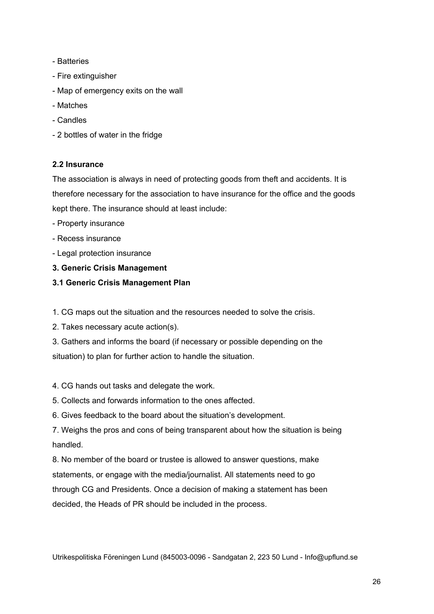- Batteries
- Fire extinguisher
- Map of emergency exits on the wall
- Matches
- Candles
- 2 bottles of water in the fridge

#### **2.2 Insurance**

The association is always in need of protecting goods from theft and accidents. It is therefore necessary for the association to have insurance for the office and the goods kept there. The insurance should at least include:

- Property insurance
- Recess insurance
- Legal protection insurance
- **3. Generic Crisis Management**
- **3.1 Generic Crisis Management Plan**
- 1. CG maps out the situation and the resources needed to solve the crisis.
- 2. Takes necessary acute action(s).

3. Gathers and informs the board (if necessary or possible depending on the situation) to plan for further action to handle the situation.

- 4. CG hands out tasks and delegate the work.
- 5. Collects and forwards information to the ones affected.
- 6. Gives feedback to the board about the situation's development.

7. Weighs the pros and cons of being transparent about how the situation is being handled.

8. No member of the board or trustee is allowed to answer questions, make statements, or engage with the media/journalist. All statements need to go through CG and Presidents. Once a decision of making a statement has been decided, the Heads of PR should be included in the process.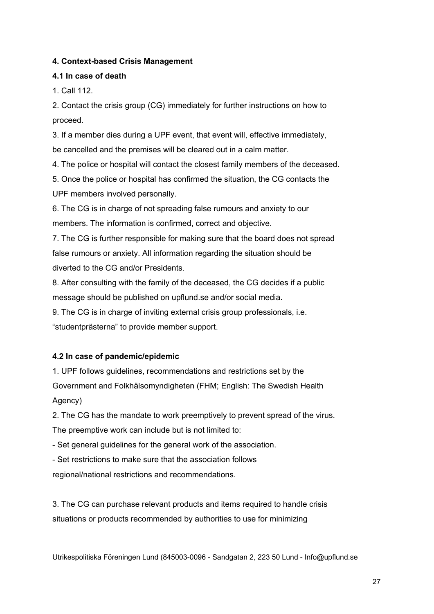### **4. Context-based Crisis Management**

#### **4.1 In case of death**

1. Call 112.

2. Contact the crisis group (CG) immediately for further instructions on how to proceed.

3. If a member dies during a UPF event, that event will, effective immediately, be cancelled and the premises will be cleared out in a calm matter.

4. The police or hospital will contact the closest family members of the deceased.

5. Once the police or hospital has confirmed the situation, the CG contacts the UPF members involved personally.

6. The CG is in charge of not spreading false rumours and anxiety to our members. The information is confirmed, correct and objective.

7. The CG is further responsible for making sure that the board does not spread false rumours or anxiety. All information regarding the situation should be diverted to the CG and/or Presidents.

8. After consulting with the family of the deceased, the CG decides if a public message should be published on upflund.se and/or social media.

9. The CG is in charge of inviting external crisis group professionals, i.e. "studentprästerna" to provide member support.

### **4.2 In case of pandemic/epidemic**

1. UPF follows guidelines, recommendations and restrictions set by the Government and Folkhälsomyndigheten (FHM; English: The Swedish Health Agency)

2. The CG has the mandate to work preemptively to prevent spread of the virus. The preemptive work can include but is not limited to:

- Set general guidelines for the general work of the association.

- Set restrictions to make sure that the association follows

regional/national restrictions and recommendations.

3. The CG can purchase relevant products and items required to handle crisis situations or products recommended by authorities to use for minimizing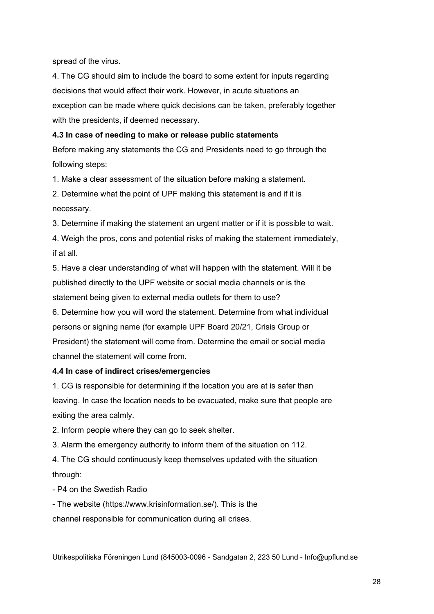spread of the virus.

4. The CG should aim to include the board to some extent for inputs regarding decisions that would affect their work. However, in acute situations an exception can be made where quick decisions can be taken, preferably together with the presidents, if deemed necessary.

#### **4.3 In case of needing to make or release public statements**

Before making any statements the CG and Presidents need to go through the following steps:

1. Make a clear assessment of the situation before making a statement.

2. Determine what the point of UPF making this statement is and if it is necessary.

3. Determine if making the statement an urgent matter or if it is possible to wait.

4. Weigh the pros, cons and potential risks of making the statement immediately, if at all.

5. Have a clear understanding of what will happen with the statement. Will it be published directly to the UPF website or social media channels or is the statement being given to external media outlets for them to use?

6. Determine how you will word the statement. Determine from what individual persons or signing name (for example UPF Board 20/21, Crisis Group or President) the statement will come from. Determine the email or social media channel the statement will come from.

### **4.4 In case of indirect crises/emergencies**

1. CG is responsible for determining if the location you are at is safer than leaving. In case the location needs to be evacuated, make sure that people are exiting the area calmly.

2. Inform people where they can go to seek shelter.

3. Alarm the emergency authority to inform them of the situation on 112.

4. The CG should continuously keep themselves updated with the situation through:

- P4 on the Swedish Radio

- The website (https://www.krisinformation.se/). This is the

channel responsible for communication during all crises.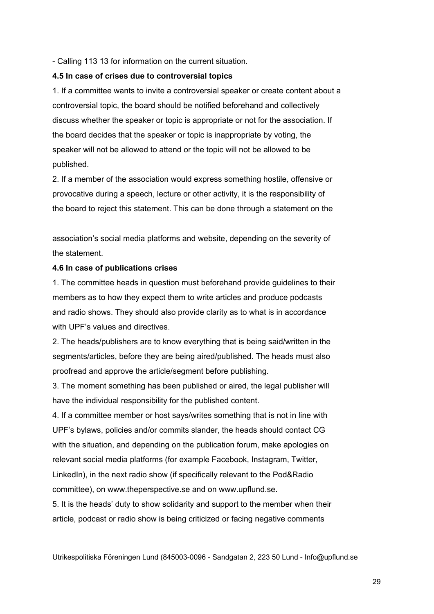- Calling 113 13 for information on the current situation.

#### **4.5 In case of crises due to controversial topics**

1. If a committee wants to invite a controversial speaker or create content about a controversial topic, the board should be notified beforehand and collectively discuss whether the speaker or topic is appropriate or not for the association. If the board decides that the speaker or topic is inappropriate by voting, the speaker will not be allowed to attend or the topic will not be allowed to be published.

2. If a member of the association would express something hostile, offensive or provocative during a speech, lecture or other activity, it is the responsibility of the board to reject this statement. This can be done through a statement on the

association's social media platforms and website, depending on the severity of the statement.

#### **4.6 In case of publications crises**

1. The committee heads in question must beforehand provide guidelines to their members as to how they expect them to write articles and produce podcasts and radio shows. They should also provide clarity as to what is in accordance with UPF's values and directives.

2. The heads/publishers are to know everything that is being said/written in the segments/articles, before they are being aired/published. The heads must also proofread and approve the article/segment before publishing.

3. The moment something has been published or aired, the legal publisher will have the individual responsibility for the published content.

4. If a committee member or host says/writes something that is not in line with UPF's bylaws, policies and/or commits slander, the heads should contact CG with the situation, and depending on the publication forum, make apologies on relevant social media platforms (for example Facebook, Instagram, Twitter, LinkedIn), in the next radio show (if specifically relevant to the Pod&Radio committee), on www.theperspective.se and on www.upflund.se.

5. It is the heads' duty to show solidarity and support to the member when their article, podcast or radio show is being criticized or facing negative comments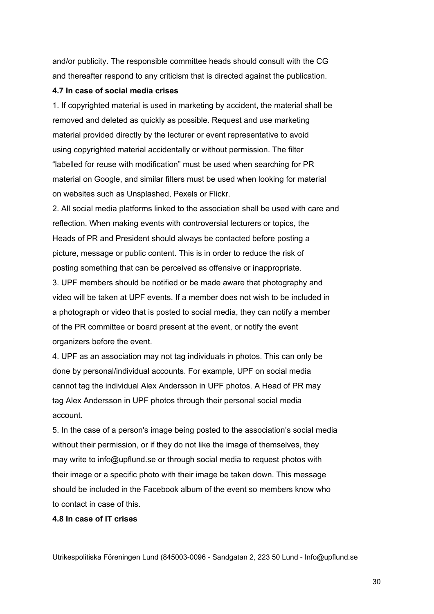and/or publicity. The responsible committee heads should consult with the CG and thereafter respond to any criticism that is directed against the publication.

#### **4.7 In case of social media crises**

1. If copyrighted material is used in marketing by accident, the material shall be removed and deleted as quickly as possible. Request and use marketing material provided directly by the lecturer or event representative to avoid using copyrighted material accidentally or without permission. The filter "labelled for reuse with modification" must be used when searching for PR material on Google, and similar filters must be used when looking for material on websites such as Unsplashed, Pexels or Flickr.

2. All social media platforms linked to the association shall be used with care and reflection. When making events with controversial lecturers or topics, the Heads of PR and President should always be contacted before posting a picture, message or public content. This is in order to reduce the risk of posting something that can be perceived as offensive or inappropriate.

3. UPF members should be notified or be made aware that photography and video will be taken at UPF events. If a member does not wish to be included in a photograph or video that is posted to social media, they can notify a member of the PR committee or board present at the event, or notify the event organizers before the event.

4. UPF as an association may not tag individuals in photos. This can only be done by personal/individual accounts. For example, UPF on social media cannot tag the individual Alex Andersson in UPF photos. A Head of PR may tag Alex Andersson in UPF photos through their personal social media account.

5. In the case of a person's image being posted to the association's social media without their permission, or if they do not like the image of themselves, they may write to info@upflund.se or through social media to request photos with their image or a specific photo with their image be taken down. This message should be included in the Facebook album of the event so members know who to contact in case of this.

#### **4.8 In case of IT crises**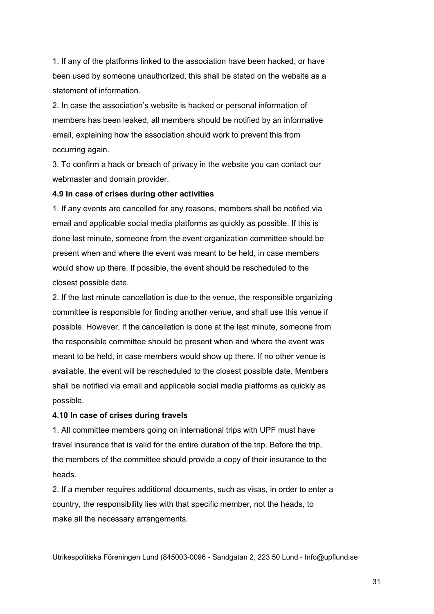1. If any of the platforms linked to the association have been hacked, or have been used by someone unauthorized, this shall be stated on the website as a statement of information.

2. In case the association's website is hacked or personal information of members has been leaked, all members should be notified by an informative email, explaining how the association should work to prevent this from occurring again.

3. To confirm a hack or breach of privacy in the website you can contact our webmaster and domain provider.

#### **4.9 In case of crises during other activities**

1. If any events are cancelled for any reasons, members shall be notified via email and applicable social media platforms as quickly as possible. If this is done last minute, someone from the event organization committee should be present when and where the event was meant to be held, in case members would show up there. If possible, the event should be rescheduled to the closest possible date.

2. If the last minute cancellation is due to the venue, the responsible organizing committee is responsible for finding another venue, and shall use this venue if possible. However, if the cancellation is done at the last minute, someone from the responsible committee should be present when and where the event was meant to be held, in case members would show up there. If no other venue is available, the event will be rescheduled to the closest possible date. Members shall be notified via email and applicable social media platforms as quickly as possible.

#### **4.10 In case of crises during travels**

1. All committee members going on international trips with UPF must have travel insurance that is valid for the entire duration of the trip. Before the trip, the members of the committee should provide a copy of their insurance to the heads.

2. If a member requires additional documents, such as visas, in order to enter a country, the responsibility lies with that specific member, not the heads, to make all the necessary arrangements.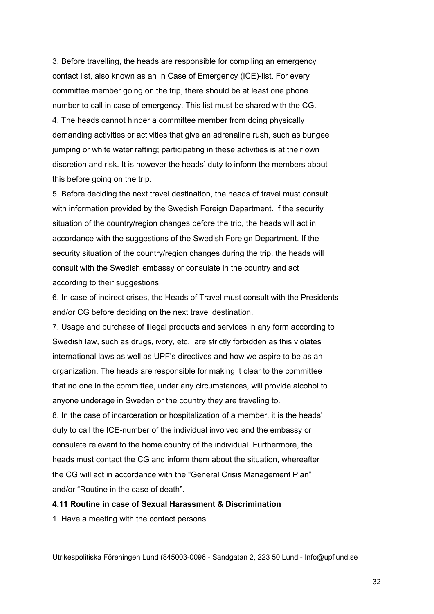3. Before travelling, the heads are responsible for compiling an emergency contact list, also known as an In Case of Emergency (ICE)-list. For every committee member going on the trip, there should be at least one phone number to call in case of emergency. This list must be shared with the CG. 4. The heads cannot hinder a committee member from doing physically demanding activities or activities that give an adrenaline rush, such as bungee jumping or white water rafting; participating in these activities is at their own discretion and risk. It is however the heads' duty to inform the members about this before going on the trip.

5. Before deciding the next travel destination, the heads of travel must consult with information provided by the Swedish Foreign Department. If the security situation of the country/region changes before the trip, the heads will act in accordance with the suggestions of the Swedish Foreign Department. If the security situation of the country/region changes during the trip, the heads will consult with the Swedish embassy or consulate in the country and act according to their suggestions.

6. In case of indirect crises, the Heads of Travel must consult with the Presidents and/or CG before deciding on the next travel destination.

7. Usage and purchase of illegal products and services in any form according to Swedish law, such as drugs, ivory, etc., are strictly forbidden as this violates international laws as well as UPF's directives and how we aspire to be as an organization. The heads are responsible for making it clear to the committee that no one in the committee, under any circumstances, will provide alcohol to anyone underage in Sweden or the country they are traveling to.

8. In the case of incarceration or hospitalization of a member, it is the heads' duty to call the ICE-number of the individual involved and the embassy or consulate relevant to the home country of the individual. Furthermore, the heads must contact the CG and inform them about the situation, whereafter the CG will act in accordance with the "General Crisis Management Plan" and/or "Routine in the case of death".

#### **4.11 Routine in case of Sexual Harassment & Discrimination**

1. Have a meeting with the contact persons.

Utrikespolitiska Föreningen Lund (845003-0096 - Sandgatan 2, 223 50 Lund - Info@upflund.se

32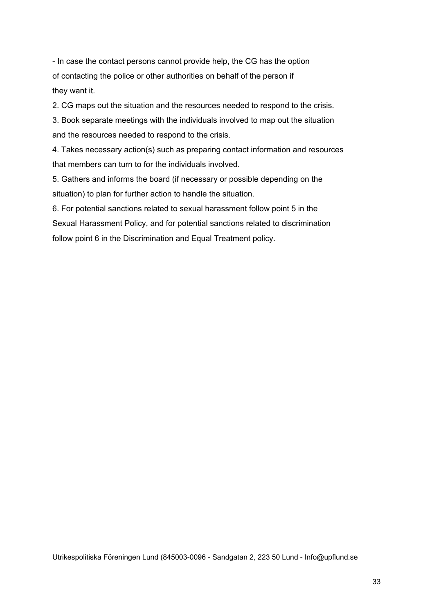- In case the contact persons cannot provide help, the CG has the option of contacting the police or other authorities on behalf of the person if they want it.

2. CG maps out the situation and the resources needed to respond to the crisis.

3. Book separate meetings with the individuals involved to map out the situation and the resources needed to respond to the crisis.

4. Takes necessary action(s) such as preparing contact information and resources that members can turn to for the individuals involved.

5. Gathers and informs the board (if necessary or possible depending on the situation) to plan for further action to handle the situation.

6. For potential sanctions related to sexual harassment follow point 5 in the Sexual Harassment Policy, and for potential sanctions related to discrimination follow point 6 in the Discrimination and Equal Treatment policy.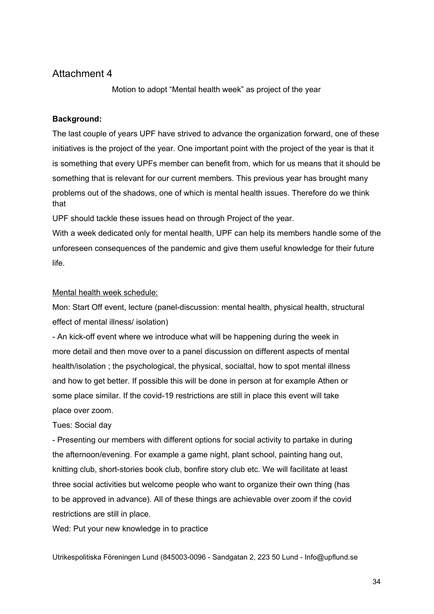Motion to adopt "Mental health week" as project of the year

#### **Background:**

The last couple of years UPF have strived to advance the organization forward, one of these initiatives is the project of the year. One important point with the project of the year is that it is something that every UPFs member can benefit from, which for us means that it should be something that is relevant for our current members. This previous year has brought many problems out of the shadows, one of which is mental health issues. Therefore do we think that

UPF should tackle these issues head on through Project of the year.

With a week dedicated only for mental health, UPF can help its members handle some of the unforeseen consequences of the pandemic and give them useful knowledge for their future life.

#### Mental health week schedule:

Mon: Start Off event, lecture (panel-discussion: mental health, physical health, structural effect of mental illness/ isolation)

- An kick-off event where we introduce what will be happening during the week in more detail and then move over to a panel discussion on different aspects of mental health/isolation ; the psychological, the physical, socialtal, how to spot mental illness and how to get better. If possible this will be done in person at for example Athen or some place similar. If the covid-19 restrictions are still in place this event will take place over zoom.

#### Tues: Social day

- Presenting our members with different options for social activity to partake in during the afternoon/evening. For example a game night, plant school, painting hang out, knitting club, short-stories book club, bonfire story club etc. We will facilitate at least three social activities but welcome people who want to organize their own thing (has to be approved in advance). All of these things are achievable over zoom if the covid restrictions are still in place.

Wed: Put your new knowledge in to practice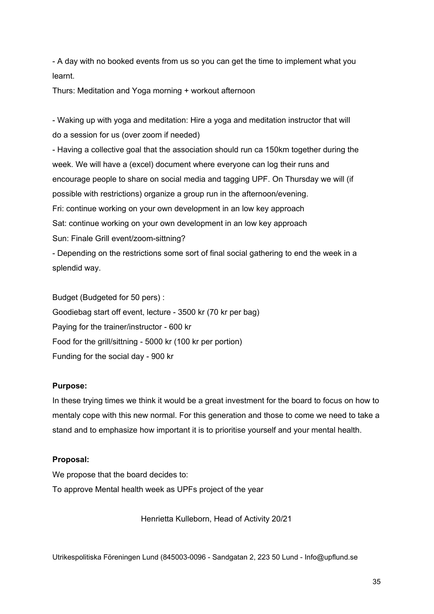- A day with no booked events from us so you can get the time to implement what you learnt.

Thurs: Meditation and Yoga morning + workout afternoon

- Waking up with yoga and meditation: Hire a yoga and meditation instructor that will do a session for us (over zoom if needed)

- Having a collective goal that the association should run ca 150km together during the week. We will have a (excel) document where everyone can log their runs and encourage people to share on social media and tagging UPF. On Thursday we will (if possible with restrictions) organize a group run in the afternoon/evening. Fri: continue working on your own development in an low key approach Sat: continue working on your own development in an low key approach Sun: Finale Grill event/zoom-sittning? - Depending on the restrictions some sort of final social gathering to end the week in a

splendid way.

Budget (Budgeted for 50 pers) :

Goodiebag start off event, lecture - 3500 kr (70 kr per bag) Paying for the trainer/instructor - 600 kr Food for the grill/sittning - 5000 kr (100 kr per portion) Funding for the social day - 900 kr

### **Purpose:**

In these trying times we think it would be a great investment for the board to focus on how to mentaly cope with this new normal. For this generation and those to come we need to take a stand and to emphasize how important it is to prioritise yourself and your mental health.

#### **Proposal:**

We propose that the board decides to: To approve Mental health week as UPFs project of the year

Henrietta Kulleborn, Head of Activity 20/21